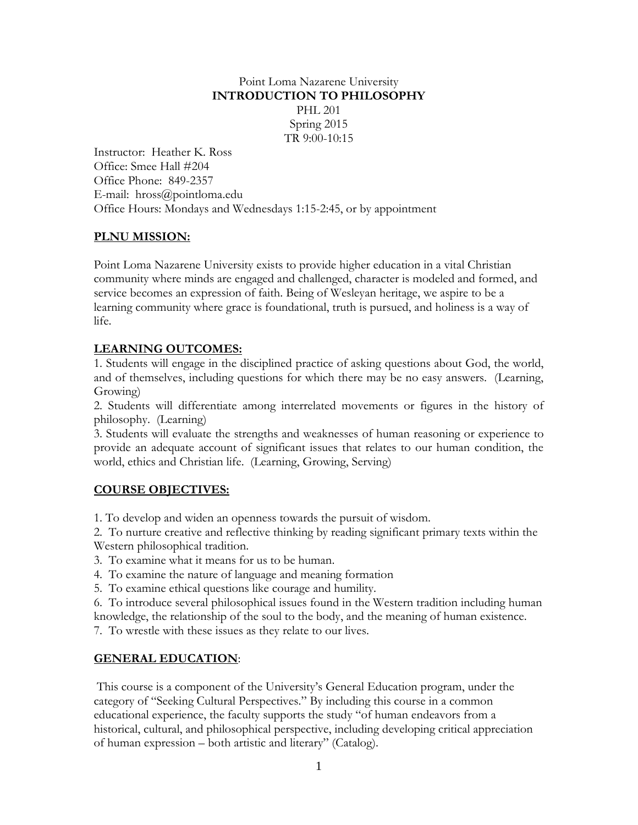# Point Loma Nazarene University **INTRODUCTION TO PHILOSOPHY** PHL 201 Spring 2015 TR 9:00-10:15

Instructor: Heather K. Ross Office: Smee Hall #204 Office Phone: 849-2357 E-mail: hross@pointloma.edu Office Hours: Mondays and Wednesdays 1:15-2:45, or by appointment

#### **PLNU MISSION:**

Point Loma Nazarene University exists to provide higher education in a vital Christian community where minds are engaged and challenged, character is modeled and formed, and service becomes an expression of faith. Being of Wesleyan heritage, we aspire to be a learning community where grace is foundational, truth is pursued, and holiness is a way of life.

# **LEARNING OUTCOMES:**

1. Students will engage in the disciplined practice of asking questions about God, the world, and of themselves, including questions for which there may be no easy answers. (Learning, Growing)

2. Students will differentiate among interrelated movements or figures in the history of philosophy. (Learning)

3. Students will evaluate the strengths and weaknesses of human reasoning or experience to provide an adequate account of significant issues that relates to our human condition, the world, ethics and Christian life. (Learning, Growing, Serving)

# **COURSE OBJECTIVES:**

1. To develop and widen an openness towards the pursuit of wisdom.

2. To nurture creative and reflective thinking by reading significant primary texts within the Western philosophical tradition.

- 3. To examine what it means for us to be human.
- 4. To examine the nature of language and meaning formation
- 5. To examine ethical questions like courage and humility.

6. To introduce several philosophical issues found in the Western tradition including human knowledge, the relationship of the soul to the body, and the meaning of human existence.

7. To wrestle with these issues as they relate to our lives.

# **GENERAL EDUCATION**:

This course is a component of the University's General Education program, under the category of "Seeking Cultural Perspectives." By including this course in a common educational experience, the faculty supports the study "of human endeavors from a historical, cultural, and philosophical perspective, including developing critical appreciation of human expression – both artistic and literary" (Catalog).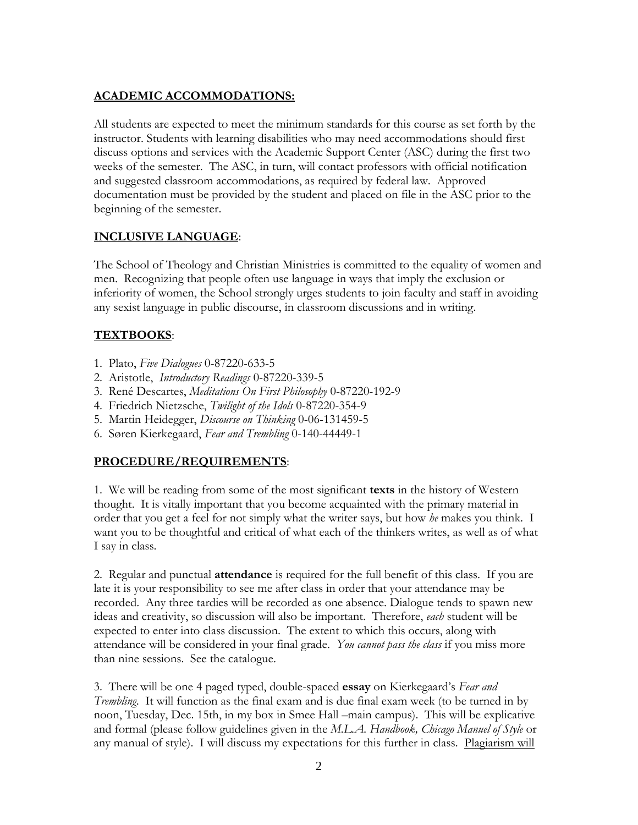# **ACADEMIC ACCOMMODATIONS:**

All students are expected to meet the minimum standards for this course as set forth by the instructor. Students with learning disabilities who may need accommodations should first discuss options and services with the Academic Support Center (ASC) during the first two weeks of the semester. The ASC, in turn, will contact professors with official notification and suggested classroom accommodations, as required by federal law. Approved documentation must be provided by the student and placed on file in the ASC prior to the beginning of the semester.

#### **INCLUSIVE LANGUAGE**:

The School of Theology and Christian Ministries is committed to the equality of women and men. Recognizing that people often use language in ways that imply the exclusion or inferiority of women, the School strongly urges students to join faculty and staff in avoiding any sexist language in public discourse, in classroom discussions and in writing.

# **TEXTBOOKS**:

- 1. Plato, *Five Dialogues* 0-87220-633-5
- 2. Aristotle, *Introductory Readings* 0-87220-339-5
- 3. René Descartes, *Meditations On First Philosophy* 0-87220-192-9
- 4. Friedrich Nietzsche, *Twilight of the Idols* 0-87220-354-9
- 5. Martin Heidegger, *Discourse on Thinking* 0-06-131459-5
- 6. Søren Kierkegaard, *Fear and Trembling* 0-140-44449-1

#### **PROCEDURE/REQUIREMENTS**:

1. We will be reading from some of the most significant **texts** in the history of Western thought. It is vitally important that you become acquainted with the primary material in order that you get a feel for not simply what the writer says, but how *he* makes you think. I want you to be thoughtful and critical of what each of the thinkers writes, as well as of what I say in class.

2. Regular and punctual **attendance** is required for the full benefit of this class. If you are late it is your responsibility to see me after class in order that your attendance may be recorded. Any three tardies will be recorded as one absence. Dialogue tends to spawn new ideas and creativity, so discussion will also be important. Therefore, *each* student will be expected to enter into class discussion. The extent to which this occurs, along with attendance will be considered in your final grade. *You cannot pass the class* if you miss more than nine sessions. See the catalogue.

3. There will be one 4 paged typed, double-spaced **essay** on Kierkegaard's *Fear and Trembling*. It will function as the final exam and is due final exam week (to be turned in by noon, Tuesday, Dec. 15th, in my box in Smee Hall –main campus). This will be explicative and formal (please follow guidelines given in the *M.L.A. Handbook, Chicago Manuel of Style* or any manual of style). I will discuss my expectations for this further in class. Plagiarism will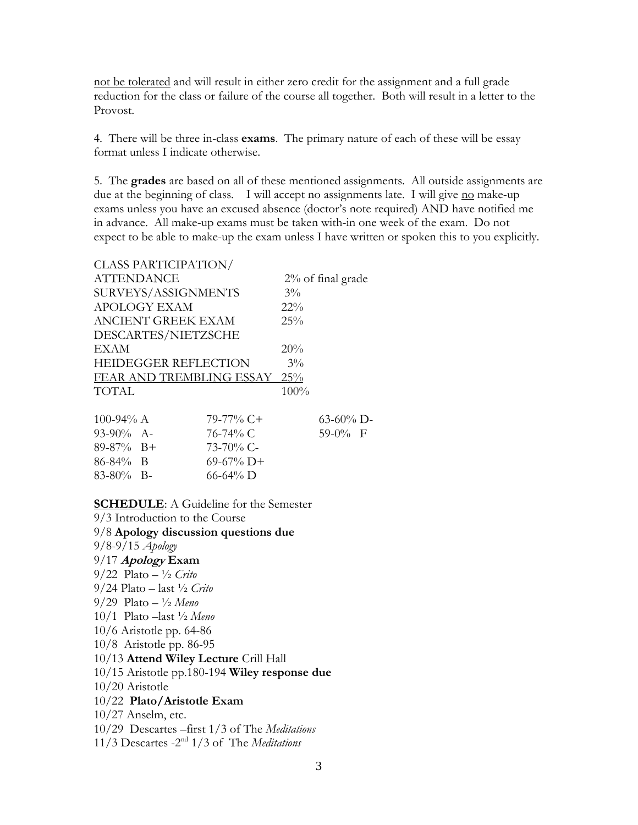not be tolerated and will result in either zero credit for the assignment and a full grade reduction for the class or failure of the course all together. Both will result in a letter to the Provost.

4. There will be three in-class **exams**. The primary nature of each of these will be essay format unless I indicate otherwise.

5. The **grades** are based on all of these mentioned assignments. All outside assignments are due at the beginning of class. I will accept no assignments late. I will give no make-up exams unless you have an excused absence (doctor's note required) AND have notified me in advance. All make-up exams must be taken with-in one week of the exam. Do not expect to be able to make-up the exam unless I have written or spoken this to you explicitly.

|                              | <b>CLASS PARTICIPATION/</b> |              |        |                      |
|------------------------------|-----------------------------|--------------|--------|----------------------|
| ATTENDANCE                   |                             |              |        | $2\%$ of final grade |
| SURVEYS/ASSIGNMENTS          |                             |              | $3\%$  |                      |
| <b>APOLOGY EXAM</b>          |                             |              | $22\%$ |                      |
| <b>ANCIENT GREEK EXAM</b>    |                             |              | 25%    |                      |
| DESCARTES/NIETZSCHE          |                             |              |        |                      |
| <b>EXAM</b>                  |                             |              | 20%    |                      |
| <b>HEIDEGGER REFLECTION</b>  |                             |              | $3\%$  |                      |
| FEAR AND TREMBLING ESSAY 25% |                             |              |        |                      |
| TOTAL                        |                             |              | 100%   |                      |
|                              |                             |              |        |                      |
| 100-94% A                    |                             | 79-77% C+    |        | $63-60\%$ D-         |
| 93-90% A-                    |                             | 76-74% C     |        | $59-0%$ F            |
| $89-87\%$ B+                 |                             | $73-70\%$ C- |        |                      |
| $86-84\%$ B                  |                             | $69-67\%$ D+ |        |                      |
| 83-80% B-                    |                             | $66-64\%$ D  |        |                      |

**SCHEDULE**: A Guideline for the Semester

- 9/3 Introduction to the Course
- 9/8 **Apology discussion questions due**
- 9/8-9/15 *Apology* 9/17 **Apology Exam** 9/22 Plato – ½ *Crito* 9/24 Plato – last ½ *Crito*
- 9/29 Plato ½ *Meno*
- 10/1 Plato –last ½ *Meno*
- 10/6 Aristotle pp. 64-86
- 10/8 Aristotle pp. 86-95
- 10/13 **Attend Wiley Lecture** Crill Hall
- 10/15 Aristotle pp.180-194 **Wiley response due**
- 10/20 Aristotle

#### 10/22 **Plato/Aristotle Exam**

- 10/27 Anselm, etc.
- 10/29 Descartes –first 1/3 of The *Meditations*
- 11/3 Descartes -2 nd 1/3 of The *Meditations*